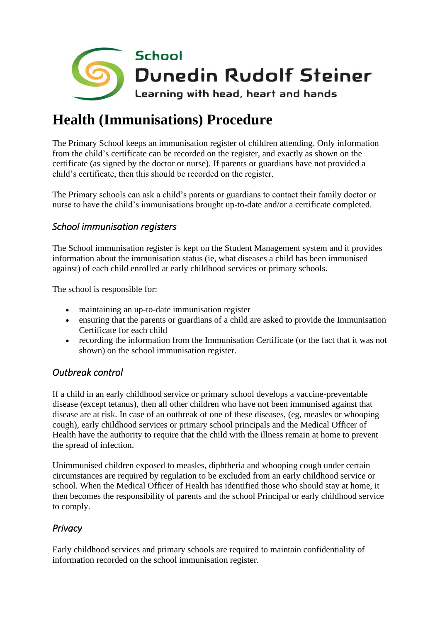

# **Health (Immunisations) Procedure**

The Primary School keeps an immunisation register of children attending. Only information from the child's certificate can be recorded on the register, and exactly as shown on the certificate (as signed by the doctor or nurse). If parents or guardians have not provided a child's certificate, then this should be recorded on the register.

The Primary schools can ask a child's parents or guardians to contact their family doctor or nurse to have the child's immunisations brought up-to-date and/or a certificate completed.

## *School immunisation registers*

The School immunisation register is kept on the Student Management system and it provides information about the immunisation status (ie, what diseases a child has been immunised against) of each child enrolled at early childhood services or primary schools.

The school is responsible for:

- maintaining an up-to-date immunisation register
- ensuring that the parents or guardians of a child are asked to provide the Immunisation Certificate for each child
- recording the information from the Immunisation Certificate (or the fact that it was not shown) on the school immunisation register.

## *Outbreak control*

If a child in an early childhood service or primary school develops a vaccine-preventable disease (except tetanus), then all other children who have not been immunised against that disease are at risk. In case of an outbreak of one of these diseases, (eg, measles or whooping cough), early childhood services or primary school principals and the Medical Officer of Health have the authority to require that the child with the illness remain at home to prevent the spread of infection.

Unimmunised children exposed to measles, diphtheria and whooping cough under certain circumstances are required by regulation to be excluded from an early childhood service or school. When the Medical Officer of Health has identified those who should stay at home, it then becomes the responsibility of parents and the school Principal or early childhood service to comply.

## *Privacy*

Early childhood services and primary schools are required to maintain confidentiality of information recorded on the school immunisation register.